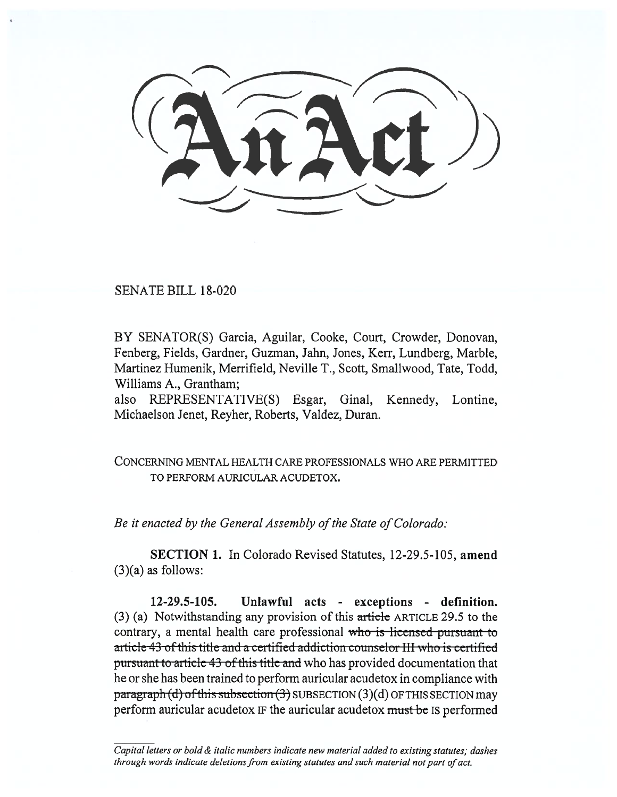SENATE BILL 18-020

BY SENATOR(S) Garcia, Aguilar, Cooke, Court, Crowder, Donovan, Fenberg, Fields, Gardner, Guzman, Jahn, Jones, Kerr, Lundberg, Marble, Martinez Humenik, Merrifield, Neville T., Scott, Smallwood, Tate, Todd, Williams A., Grantham;

also REPRESENTATIVE(S) Esgar, Ginal, Kennedy, Lontine, Michaelson Jenet, Reyher, Roberts, Valdez, Duran.

CONCERNING MENTAL HEALTH CARE PROFESSIONALS WHO ARE PERMITTED TO PERFORM AURICULAR ACUDETOX.

*Be it enacted by the General Assembly of the State of Colorado:* 

**SECTION 1.** In Colorado Revised Statutes, 12-29.5-105, **amend**   $(3)(a)$  as follows:

**12-29.5-105. Unlawful acts - exceptions - definition.**  (3) (a) Notwithstanding any provision of this article ARTICLE 29.5 to the contrary, a mental health care professional who is licensed pursuant to article-43-of this title-and a certified addiction counselor III who is certified pursuant to article 43 of this title and who has provided documentation that he or she has been trained to perform auricular acudetox in compliance with  $\frac{\text{pargraph}}{d}$  of this subsection  $\left(\frac{3}{2}\right)$  SUBSECTION  $(3)(d)$  OF THIS SECTION may perform auricular acudetox IF the auricular acudetox must be IS performed

*Capital letters or bold & italic numbers indicate new material added to existing statutes; dashes through words indicate deletions from existing statutes and such material not part of act.*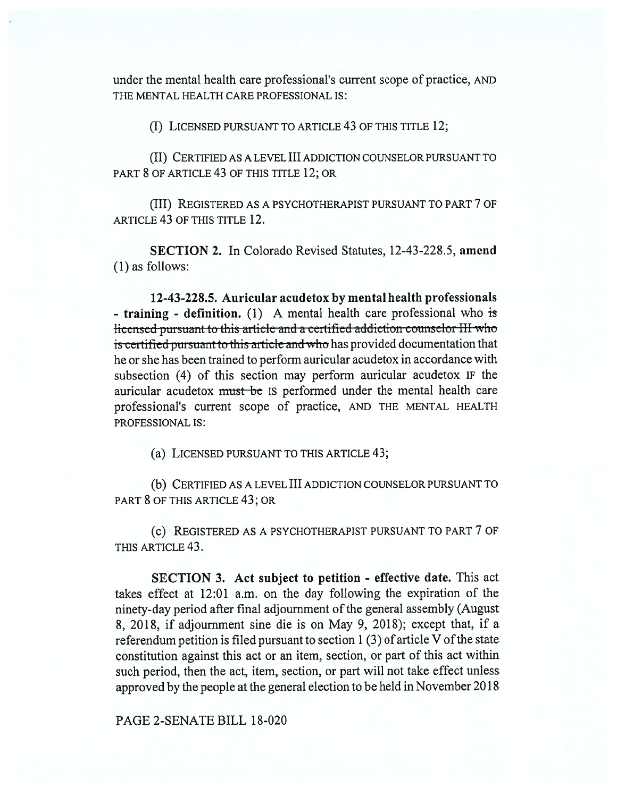under the mental health care professional's current scope of practice, AND THE MENTAL HEALTH CARE PROFESSIONAL IS:

(I) LICENSED PURSUANT TO ARTICLE 43 OF THIS TITLE 12;

(II) CERTIFIED AS A LEVEL III ADDICTION COUNSELOR PURSUANT TO PART 8 OF ARTICLE 43 OF THIS TITLE 12; OR

(III) REGISTERED AS A PSYCHOTHERAPIST PURSUANT TO PART 7 OF ARTICLE 43 OF THIS TITLE 12.

**SECTION 2.** In Colorado Revised Statutes, 12-43-228.5, **amend**  (1) as follows:

**12-43-228.5. Auricular acudetox by mental health professionals - training - definition.** (1) A mental health care professional who is licensed pursuant to this article and a certified addiction counselor III who is certified pursuant to this article and who has provided documentation that he or she has been trained to perform auricular acudetox in accordance with subsection (4) of this section may perform auricular acudetox IF the auricular acudetox must be IS performed under the mental health care professional's current scope of practice, AND THE MENTAL HEALTH PROFESSIONAL IS:

(a) LICENSED PURSUANT TO THIS ARTICLE 43;

(b) CERTIFIED AS A LEVEL III ADDICTION COUNSELOR PURSUANT TO PART 8 OF THIS ARTICLE 43; OR

(C) REGISTERED AS A PSYCHOTHERAPIST PURSUANT TO PART 7 OF THIS ARTICLE 43.

**SECTION 3. Act subject to petition - effective date.** This act takes effect at 12:01 a.m. on the day following the expiration of the ninety-day period after final adjournment of the general assembly (August 8, 2018, if adjournment sine die is on May 9, 2018); except that, if a referendum petition is filed pursuant to section 1 (3) of article V of the state constitution against this act or an item, section, or part of this act within such period, then the act, item, section, or part will not take effect unless approved by the people at the general election to be held in November 2018

PAGE 2-SENATE BILL 18-020